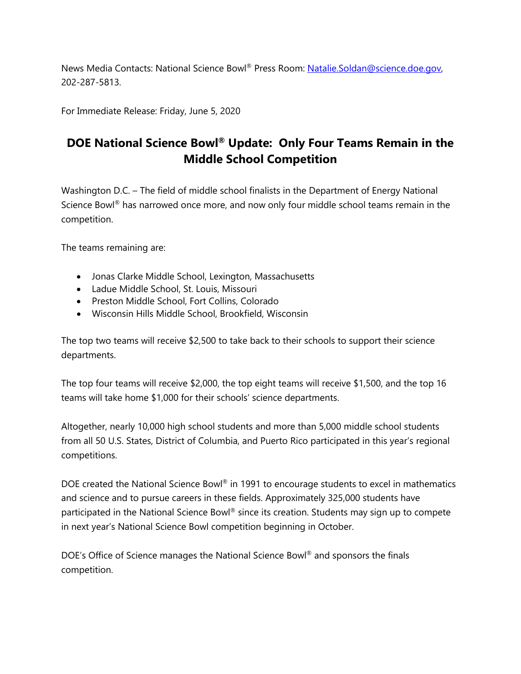News Media Contacts: National Science Bowl® Press Room: Natalie.Soldan@science.doe.gov, 202-287-5813.

For Immediate Release: Friday, June 5, 2020

## **DOE National Science Bowl® Update: Only Four Teams Remain in the Middle School Competition**

Washington D.C. – The field of middle school finalists in the Department of Energy National Science Bowl® has narrowed once more, and now only four middle school teams remain in the competition.

The teams remaining are:

- Jonas Clarke Middle School, Lexington, Massachusetts
- Ladue Middle School, St. Louis, Missouri
- Preston Middle School, Fort Collins, Colorado
- Wisconsin Hills Middle School, Brookfield, Wisconsin

The top two teams will receive \$2,500 to take back to their schools to support their science departments.

The top four teams will receive \$2,000, the top eight teams will receive \$1,500, and the top 16 teams will take home \$1,000 for their schools' science departments.

Altogether, nearly 10,000 high school students and more than 5,000 middle school students from all 50 U.S. States, District of Columbia, and Puerto Rico participated in this year's regional competitions.

DOE created the National Science Bowl® in 1991 to encourage students to excel in mathematics and science and to pursue careers in these fields. Approximately 325,000 students have participated in the National Science Bowl® since its creation. Students may sign up to compete in next year's National Science Bowl competition beginning in October.

DOE's Office of Science manages the National Science Bowl® and sponsors the finals competition.